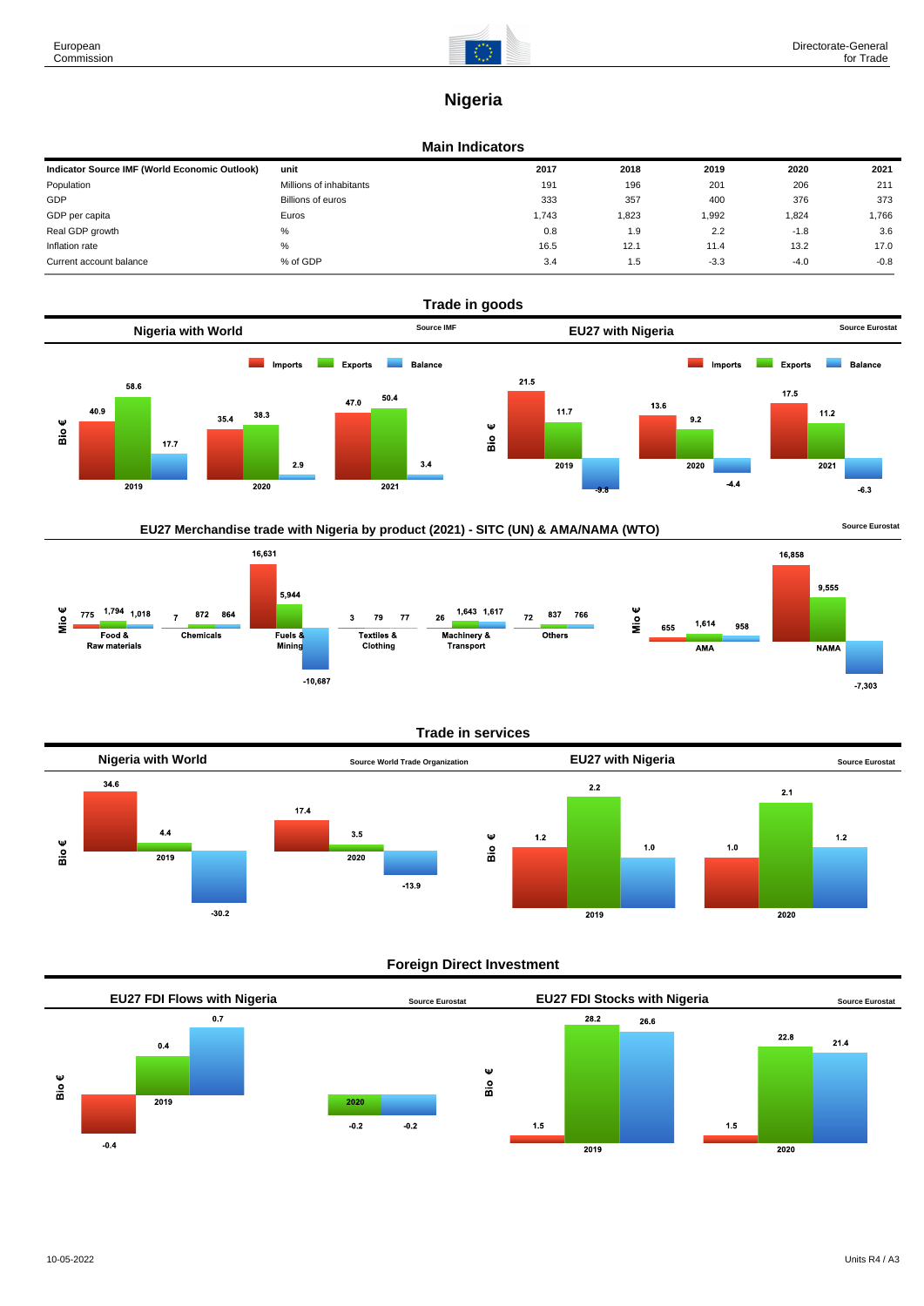

## **Nigeria**

#### **Main Indicators**

| Indicator Source IMF (World Economic Outlook) | unit                    | 2017  | 2018  | 2019   | 2020   | 2021   |
|-----------------------------------------------|-------------------------|-------|-------|--------|--------|--------|
| Population                                    | Millions of inhabitants | 191   | 196   | 201    | 206    | 211    |
| GDP                                           | Billions of euros       | 333   | 357   | 400    | 376    | 373    |
| GDP per capita                                | Euros                   | 1.743 | 1,823 | 1,992  | 1,824  | 1,766  |
| Real GDP growth                               | %                       | 0.8   | 1.9   | 2.2    | $-1.8$ | 3.6    |
| Inflation rate                                | %                       | 16.5  | 12.1  | 11.4   | 13.2   | 17.0   |
| Current account balance                       | % of GDP                | 3.4   | 1.5   | $-3.3$ | $-4.0$ | $-0.8$ |



### EU27 Merchandise trade with Nigeria by product (2021) - SITC (UN) & AMA/NAMA (WTO) **Source Eurostat**



#### **Trade in services**



#### **Foreign Direct Investment**